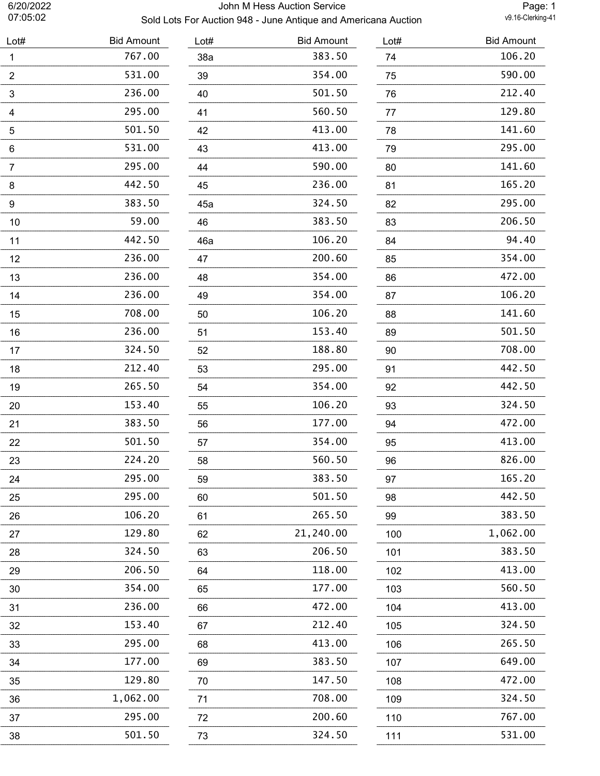# 6/20/2022 John M Hess Auction Service Sold Lots For Auction 948 - June Antique and Americana Auction

Page: 1<br>v9.16-Clerking-41

| Lot#           | <b>Bid Amount</b> | Lot# | <b>Bid Amount</b> | Lot# | <b>Bid Amount</b> |
|----------------|-------------------|------|-------------------|------|-------------------|
| $\mathbf{1}$   | 767.00            | 38a  | 383.50            | 74   | 106.20            |
| $\overline{2}$ | 531.00            | 39   | 354.00            | 75   | 590.00            |
| 3              | 236.00            | 40   | 501.50            | 76   | 212.40            |
| 4              | 295.00            | 41   | 560.50            | 77   | 129.80            |
| $\sqrt{5}$     | 501.50            | 42   | 413.00            | 78   | 141.60            |
| 6              | 531.00            | 43   | 413.00            | 79   | 295.00            |
| $\overline{7}$ | 295.00            | 44   | 590.00            | 80   | 141.60            |
| 8              | 442.50            | 45   | 236.00            | 81   | 165.20            |
| 9              | 383.50            | 45a  | 324.50            | 82   | 295.00            |
| 10             | 59.00             | 46   | 383.50            | 83   | 206.50            |
| 11             | 442.50            | 46a  | 106.20            | 84   | 94.40             |
| 12             | 236.00            | 47   | 200.60            | 85   | 354.00            |
| 13             | 236.00            | 48   | 354.00            | 86   | 472.00            |
| 14             | 236.00            | 49   | 354.00            | 87   | 106.20            |
| 15             | 708.00            | 50   | 106.20            | 88   | 141.60            |
| 16             | 236.00            | 51   | 153.40            | 89   | 501.50            |
| 17             | 324.50            | 52   | 188.80            | 90   | 708.00            |
| 18             | 212.40            | 53   | 295.00            | 91   | 442.50            |
| 19             | 265.50            | 54   | 354.00            | 92   | 442.50            |
| 20             | 153.40            | 55   | 106.20            | 93   | 324.50            |
| 21             | 383.50            | 56   | 177.00            | 94   | 472.00            |
| 22             | 501.50            | 57   | 354.00            | 95   | 413.00            |
| 23             | 224.20            | 58   | 560.50            | 96   | 826.00            |
| 24             | 295.00            | 59   | 383.50            | 97   | 165.20            |
| 25             | 295.00            | 60   | 501.50            | 98   | 442.50            |
| 26             | 106.20            | 61   | 265.50            | 99   | 383.50            |
| 27             | 129.80            | 62   | 21,240.00         | 100  | 1,062.00          |
| 28             | 324.50            | 63   | 206.50            | 101  | 383.50            |
| 29             | 206.50            | 64   | 118.00            | 102  | 413.00            |
| 30             | 354.00            | 65   | 177.00            | 103  | 560.50            |
| 31             | 236.00            | 66   | 472.00            | 104  | 413.00            |
| 32             | 153.40            | 67   | 212.40            | 105  | 324.50            |
| 33             | 295.00            | 68   | 413.00            | 106  | 265.50            |
| 34             | 177.00            | 69   | 383.50            | 107  | 649.00            |
| 35             | 129.80            | 70   | 147.50            | 108  | 472.00            |
| 36             | 1,062.00          | 71   | 708.00            | 109  | 324.50            |
| 37             | 295.00            | 72   | 200.60            | 110  | 767.00            |
| 38             | 501.50            | 73   | 324.50            | 111  | 531.00            |
|                |                   |      |                   |      |                   |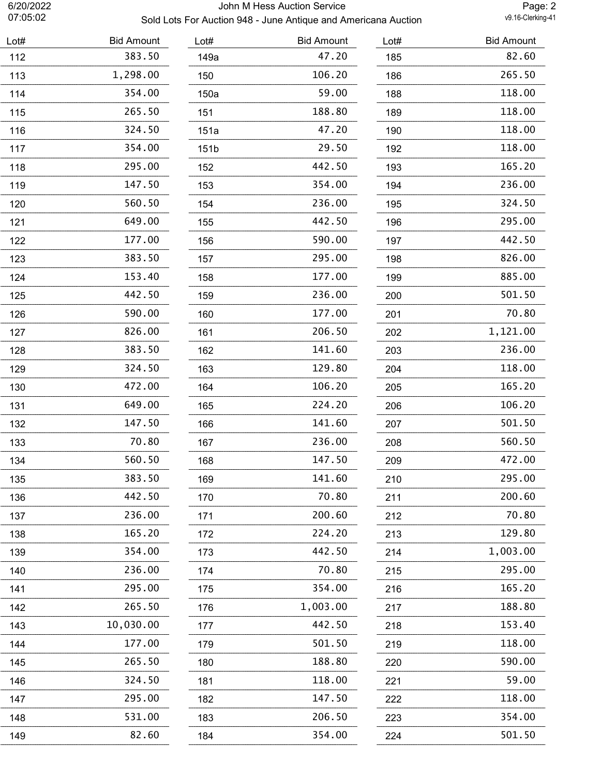# 6/20/2022 John M Hess Auction Service Sold Lots For Auction 948 - June Antique and Americana Auction

Page: 2<br>v9.16-Clerking-41

| Lot# | <b>Bid Amount</b> | Lot# | <b>Bid Amount</b> | Lot# | <b>Bid Amount</b> |
|------|-------------------|------|-------------------|------|-------------------|
| 112  | 383.50            | 149a | 47.20             | 185  | 82.60             |
| 113  | 1,298.00          | 150  | 106.20            | 186  | 265.50            |
| 114  | 354.00            | 150a | 59.00             | 188  | 118.00            |
| 115  | 265.50            | 151  | 188.80            | 189  | 118.00            |
| 116  | 324.50            | 151a | 47.20             | 190  | 118.00            |
| 117  | 354.00            | 151b | 29.50             | 192  | 118.00            |
| 118  | 295.00            | 152  | 442.50            | 193  | 165.20            |
| 119  | 147.50            | 153  | 354.00            | 194  | 236.00            |
| 120  | 560.50            | 154  | 236.00            | 195  | 324.50            |
| 121  | 649.00            | 155  | 442.50            | 196  | 295.00            |
| 122  | 177.00            | 156  | 590.00            | 197  | 442.50            |
| 123  | 383.50            | 157  | 295.00            | 198  | 826.00            |
| 124  | 153.40            | 158  | 177.00            | 199  | 885.00            |
| 125  | 442.50            | 159  | 236.00            | 200  | 501.50            |
| 126  | 590.00            | 160  | 177.00            | 201  | 70.80             |
| 127  | 826.00            | 161  | 206.50            | 202  | 1,121.00          |
| 128  | 383.50            | 162  | 141.60            | 203  | 236.00            |
| 129  | 324.50            | 163  | 129.80            | 204  | 118.00            |
| 130  | 472.00            | 164  | 106.20            | 205  | 165.20            |
| 131  | 649.00            | 165  | 224.20            | 206  | 106.20            |
| 132  | 147.50            | 166  | 141.60            | 207  | 501.50            |
| 133  | 70.80             | 167  | 236.00            | 208  | 560.50            |
| 134  | 560.50            | 168  | 147.50            | 209  | 472.00            |
| 135  | 383.50            | 169  | 141.60            | 210  | 295.00            |
| 136  | 442.50            | 170  | 70.80             | 211  | 200.60            |
| 137  | 236.00            | 171  | 200.60            | 212  | 70.80             |
| 138  | 165.20            | 172  | 224.20            | 213  | 129.80            |
| 139  | 354.00            | 173  | 442.50            | 214  | 1,003.00          |
| 140  | 236.00            | 174  | 70.80             | 215  | 295.00            |
| 141  | 295.00            | 175  | 354.00            | 216  | 165.20            |
| 142  | 265.50            | 176  | 1,003.00          | 217  | 188.80            |
| 143  | 10,030.00         | 177  | 442.50            | 218  | 153.40            |
| 144  | 177.00            | 179  | 501.50            | 219  | 118.00            |
| 145  | 265.50            | 180  | 188.80            | 220  | 590.00            |
| 146  | 324.50            | 181  | 118.00            | 221  | 59.00             |
| 147  | 295.00            | 182  | 147.50            | 222  | 118.00            |
| 148  | 531.00            | 183  | 206.50            | 223  | 354.00            |
| 149  | 82.60             | 184  | 354.00            | 224  | 501.50            |
|      |                   |      |                   |      |                   |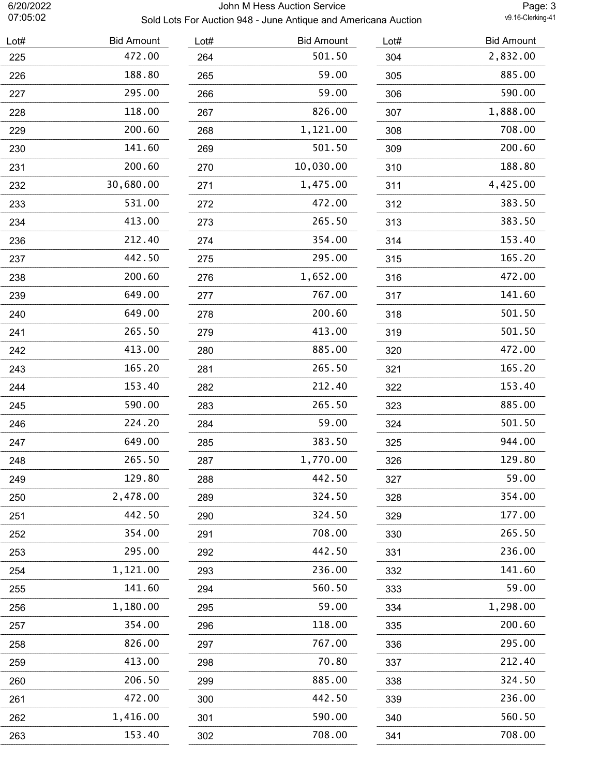# 6/20/2022 John M Hess Auction Service Sold Lots For Auction 948 - June Antique and Americana Auction

Page: 3<br>v9.16-Clerking-41

| Lot# | <b>Bid Amount</b> | Lot# | <b>Bid Amount</b> | Lot# | <b>Bid Amount</b> |
|------|-------------------|------|-------------------|------|-------------------|
| 225  | 472.00            | 264  | 501.50            | 304  | 2,832.00          |
| 226  | 188.80            | 265  | 59.00             | 305  | 885.00            |
| 227  | 295.00            | 266  | 59.00             | 306  | 590.00            |
| 228  | 118.00            | 267  | 826.00            | 307  | 1,888.00          |
| 229  | 200.60            | 268  | 1,121.00          | 308  | 708.00            |
| 230  | 141.60            | 269  | 501.50            | 309  | 200.60            |
| 231  | 200.60            | 270  | 10,030.00         | 310  | 188.80            |
| 232  | 30,680.00         | 271  | 1,475.00          | 311  | 4,425.00          |
| 233  | 531.00            | 272  | 472.00            | 312  | 383.50            |
| 234  | 413.00            | 273  | 265.50            | 313  | 383.50            |
| 236  | 212.40            | 274  | 354.00            | 314  | 153.40            |
| 237  | 442.50            | 275  | 295.00            | 315  | 165.20            |
| 238  | 200.60            | 276  | 1,652.00          | 316  | 472.00            |
| 239  | 649.00            | 277  | 767.00            | 317  | 141.60            |
| 240  | 649.00            | 278  | 200.60            | 318  | 501.50            |
| 241  | 265.50            | 279  | 413.00            | 319  | 501.50            |
| 242  | 413.00            | 280  | 885.00            | 320  | 472.00            |
| 243  | 165.20            | 281  | 265.50            | 321  | 165.20            |
| 244  | 153.40            | 282  | 212.40            | 322  | 153.40            |
| 245  | 590.00            | 283  | 265.50            | 323  | 885.00            |
| 246  | 224.20            | 284  | 59.00             | 324  | 501.50            |
| 247  | 649.00            | 285  | 383.50            | 325  | 944.00            |
| 248  | 265.50            | 287  | 1,770.00          | 326  | 129.80            |
| 249  | 129.80            | 288  | 442.50            | 327  | 59.00             |
| 250  | 2,478.00          | 289  | 324.50            | 328  | 354.00            |
| 251  | 442.50            | 290  | 324.50            | 329  | 177.00            |
| 252  | 354.00            | 291  | 708.00            | 330  | 265.50            |
| 253  | 295.00            | 292  | 442.50            | 331  | 236.00            |
| 254  | 1,121.00          | 293  | 236.00            | 332  | 141.60            |
| 255  | 141.60            | 294  | 560.50            | 333  | 59.00             |
| 256  | 1,180.00          | 295  | 59.00             | 334  | 1,298.00          |
| 257  | 354.00            | 296  | 118.00            | 335  | 200.60            |
| 258  | 826.00            | 297  | 767.00            | 336  | 295.00            |
| 259  | 413.00            | 298  | 70.80             | 337  | 212.40            |
| 260  | 206.50            | 299  | 885.00            | 338  | 324.50            |
| 261  | 472.00            | 300  | 442.50            | 339  | 236.00            |
| 262  | 1,416.00          | 301  | 590.00            | 340  | 560.50            |
| 263  | 153.40            | 302  | 708.00            | 341  | 708.00            |
|      |                   |      |                   |      |                   |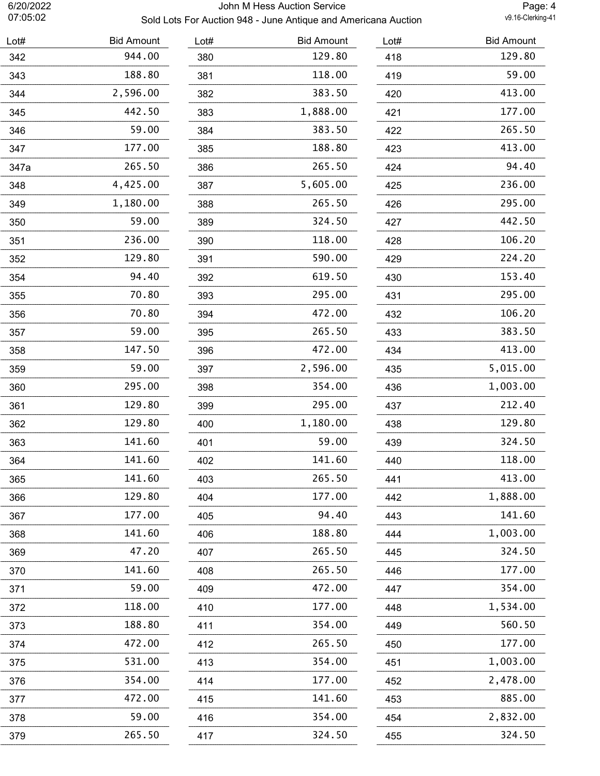# 6/20/2022 John M Hess Auction Service Sold Lots For Auction 948 - June Antique and Americana Auction

Page: 4<br>v9.16-Clerking-41

| Lot# | <b>Bid Amount</b> | Lot# | <b>Bid Amount</b> | Lot# | <b>Bid Amount</b> |
|------|-------------------|------|-------------------|------|-------------------|
| 342  | 944.00            | 380  | 129.80            | 418  | 129.80            |
| 343  | 188.80            | 381  | 118.00            | 419  | 59.00             |
| 344  | 2,596.00          | 382  | 383.50            | 420  | 413.00            |
| 345  | 442.50            | 383  | 1,888.00          | 421  | 177.00            |
| 346  | 59.00             | 384  | 383.50            | 422  | 265.50            |
| 347  | 177.00            | 385  | 188.80            | 423  | 413.00            |
| 347a | 265.50            | 386  | 265.50            | 424  | 94.40             |
| 348  | 4,425.00          | 387  | 5,605.00          | 425  | 236.00            |
| 349  | 1,180.00          | 388  | 265.50            | 426  | 295.00            |
| 350  | 59.00             | 389  | 324.50            | 427  | 442.50            |
| 351  | 236.00            | 390  | 118.00            | 428  | 106.20            |
| 352  | 129.80            | 391  | 590.00            | 429  | 224.20            |
| 354  | 94.40             | 392  | 619.50            | 430  | 153.40            |
| 355  | 70.80             | 393  | 295.00            | 431  | 295.00            |
| 356  | 70.80             | 394  | 472.00            | 432  | 106.20            |
| 357  | 59.00             | 395  | 265.50            | 433  | 383.50            |
| 358  | 147.50            | 396  | 472.00            | 434  | 413.00            |
| 359  | 59.00             | 397  | 2,596.00          | 435  | 5,015.00          |
| 360  | 295.00            | 398  | 354.00            | 436  | 1,003.00          |
| 361  | 129.80            | 399  | 295.00            | 437  | 212.40            |
| 362  | 129.80            | 400  | 1,180.00          | 438  | 129.80            |
| 363  | 141.60            | 401  | 59.00             | 439  | 324.50            |
| 364  | 141.60            | 402  | 141.60            | 440  | 118.00            |
| 365  | 141.60            | 403  | 265.50            | 441  | 413.00            |
| 366  | 129.80            | 404  | 177.00            | 442  | 1,888.00          |
| 367  | 177.00            | 405  | 94.40             | 443  | 141.60            |
| 368  | 141.60            | 406  | 188.80            | 444  | 1,003.00          |
| 369  | 47.20             | 407  | 265.50            | 445  | 324.50            |
| 370  | 141.60            | 408  | 265.50            | 446  | 177.00            |
| 371  | 59.00             | 409  | 472.00            | 447  | 354.00            |
| 372  | 118.00            | 410  | 177.00            | 448  | 1,534.00          |
| 373  | 188.80            | 411  | 354.00            | 449  | 560.50            |
| 374  | 472.00            | 412  | 265.50            | 450  | 177.00            |
| 375  | 531.00            | 413  | 354.00            | 451  | 1,003.00          |
| 376  | 354.00            | 414  | 177.00            | 452  | 2,478.00          |
| 377  | 472.00            | 415  | 141.60            | 453  | 885.00            |
| 378  | 59.00             | 416  | 354.00            | 454  | 2,832.00          |
| 379  | 265.50            | 417  | 324.50            | 455  | 324.50            |
|      |                   |      |                   |      |                   |